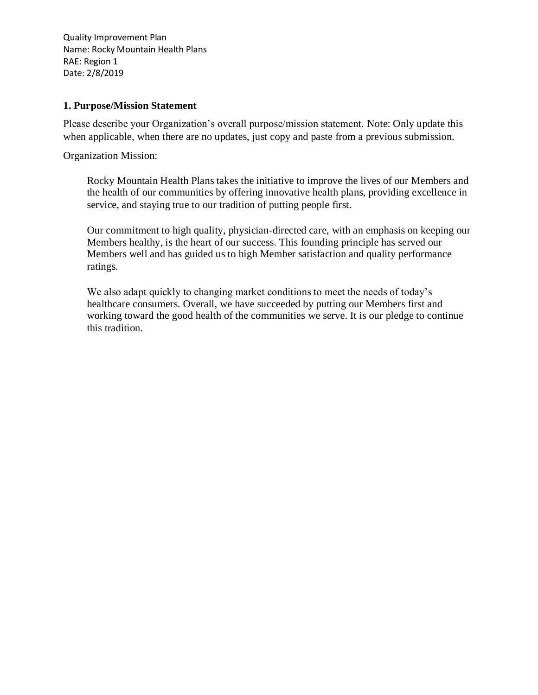### **1. Purpose/Mission Statement**

Please describe your Organization's overall purpose/mission statement. Note: Only update this when applicable, when there are no updates, just copy and paste from a previous submission.

Organization Mission:

Rocky Mountain Health Plans takes the initiative to improve the lives of our Members and the health of our communities by offering innovative health plans, providing excellence in service, and staying true to our tradition of putting people first.

Our commitment to high quality, physician-directed care, with an emphasis on keeping our Members healthy, is the heart of our success. This founding principle has served our Members well and has guided us to high Member satisfaction and quality performance ratings.

We also adapt quickly to changing market conditions to meet the needs of today's healthcare consumers. Overall, we have succeeded by putting our Members first and working toward the good health of the communities we serve. It is our pledge to continue this tradition.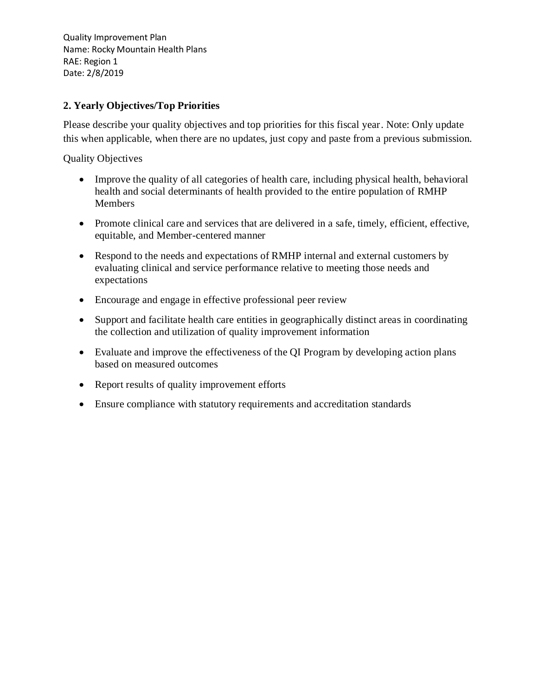# **2. Yearly Objectives/Top Priorities**

Please describe your quality objectives and top priorities for this fiscal year. Note: Only update this when applicable, when there are no updates, just copy and paste from a previous submission.

Quality Objectives

- Improve the quality of all categories of health care, including physical health, behavioral health and social determinants of health provided to the entire population of RMHP Members
- Promote clinical care and services that are delivered in a safe, timely, efficient, effective, equitable, and Member-centered manner
- Respond to the needs and expectations of RMHP internal and external customers by evaluating clinical and service performance relative to meeting those needs and expectations
- Encourage and engage in effective professional peer review
- Support and facilitate health care entities in geographically distinct areas in coordinating the collection and utilization of quality improvement information
- Evaluate and improve the effectiveness of the QI Program by developing action plans based on measured outcomes
- Report results of quality improvement efforts
- Ensure compliance with statutory requirements and accreditation standards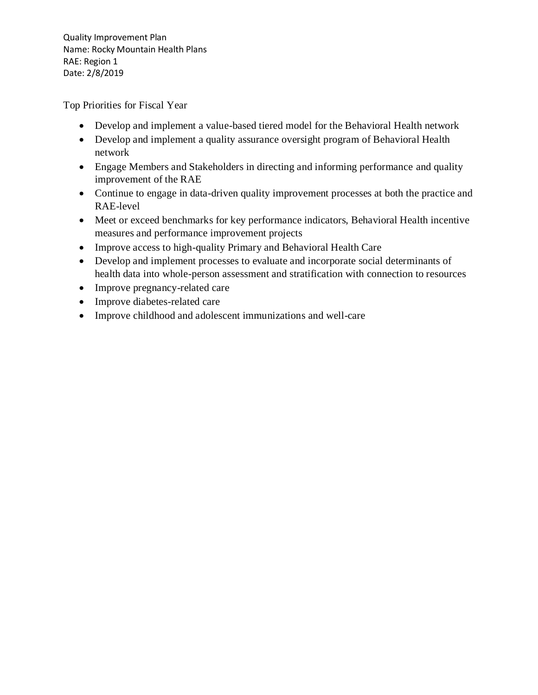Top Priorities for Fiscal Year

- Develop and implement a value-based tiered model for the Behavioral Health network
- Develop and implement a quality assurance oversight program of Behavioral Health network
- Engage Members and Stakeholders in directing and informing performance and quality improvement of the RAE
- Continue to engage in data-driven quality improvement processes at both the practice and RAE-level
- Meet or exceed benchmarks for key performance indicators, Behavioral Health incentive measures and performance improvement projects
- Improve access to high-quality Primary and Behavioral Health Care
- Develop and implement processes to evaluate and incorporate social determinants of health data into whole-person assessment and stratification with connection to resources
- Improve pregnancy-related care
- Improve diabetes-related care
- Improve childhood and adolescent immunizations and well-care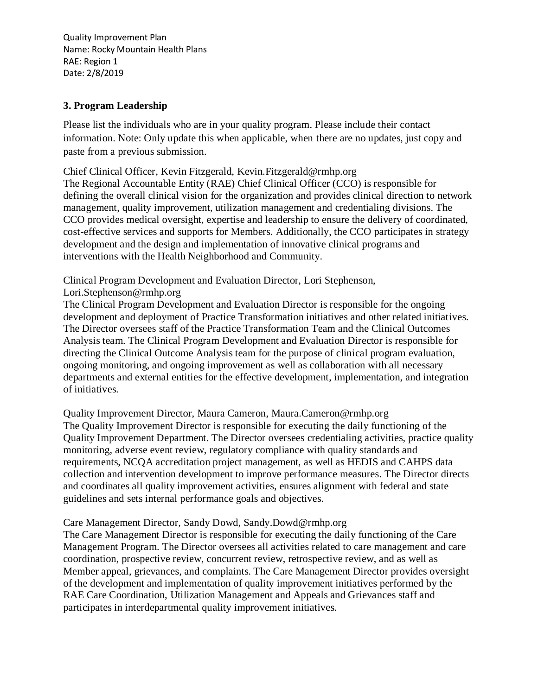## **3. Program Leadership**

Please list the individuals who are in your quality program. Please include their contact information. Note: Only update this when applicable, when there are no updates, just copy and paste from a previous submission.

Chief Clinical Officer, Kevin Fitzgerald, Kevin.Fitzgerald@rmhp.org

The Regional Accountable Entity (RAE) Chief Clinical Officer (CCO) is responsible for defining the overall clinical vision for the organization and provides clinical direction to network management, quality improvement, utilization management and credentialing divisions. The CCO provides medical oversight, expertise and leadership to ensure the delivery of coordinated, cost-effective services and supports for Members. Additionally, the CCO participates in strategy development and the design and implementation of innovative clinical programs and interventions with the Health Neighborhood and Community.

Clinical Program Development and Evaluation Director, Lori Stephenson,

Lori.Stephenson@rmhp.org

The Clinical Program Development and Evaluation Director is responsible for the ongoing development and deployment of Practice Transformation initiatives and other related initiatives. The Director oversees staff of the Practice Transformation Team and the Clinical Outcomes Analysis team. The Clinical Program Development and Evaluation Director is responsible for directing the Clinical Outcome Analysis team for the purpose of clinical program evaluation, ongoing monitoring, and ongoing improvement as well as collaboration with all necessary departments and external entities for the effective development, implementation, and integration of initiatives.

Quality Improvement Director, Maura Cameron, Maura.Cameron@rmhp.org The Quality Improvement Director is responsible for executing the daily functioning of the Quality Improvement Department. The Director oversees credentialing activities, practice quality monitoring, adverse event review, regulatory compliance with quality standards and requirements, NCQA accreditation project management, as well as HEDIS and CAHPS data collection and intervention development to improve performance measures. The Director directs and coordinates all quality improvement activities, ensures alignment with federal and state guidelines and sets internal performance goals and objectives.

## Care Management Director, Sandy Dowd, Sandy.Dowd@rmhp.org

The Care Management Director is responsible for executing the daily functioning of the Care Management Program. The Director oversees all activities related to care management and care coordination, prospective review, concurrent review, retrospective review, and as well as Member appeal, grievances, and complaints. The Care Management Director provides oversight of the development and implementation of quality improvement initiatives performed by the RAE Care Coordination, Utilization Management and Appeals and Grievances staff and participates in interdepartmental quality improvement initiatives.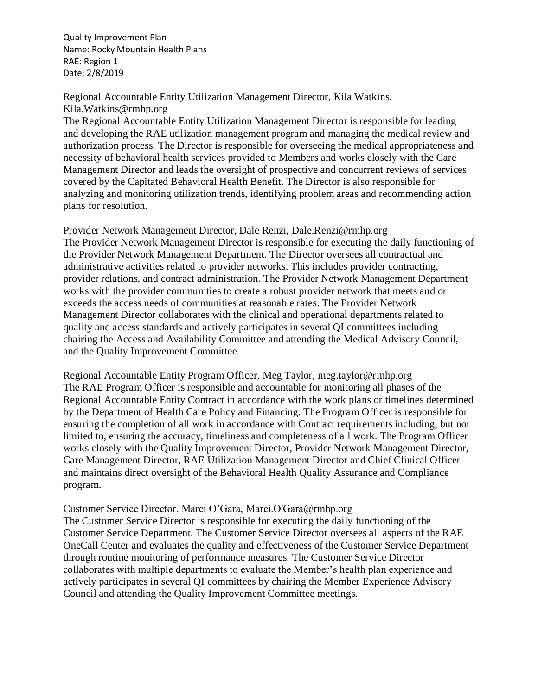Regional Accountable Entity Utilization Management Director, Kila Watkins, Kila.Watkins@rmhp.org

The Regional Accountable Entity Utilization Management Director is responsible for leading and developing the RAE utilization management program and managing the medical review and authorization process. The Director is responsible for overseeing the medical appropriateness and necessity of behavioral health services provided to Members and works closely with the Care Management Director and leads the oversight of prospective and concurrent reviews of services covered by the Capitated Behavioral Health Benefit. The Director is also responsible for analyzing and monitoring utilization trends, identifying problem areas and recommending action plans for resolution.

Provider Network Management Director, Dale Renzi, Dale.Renzi@rmhp.org The Provider Network Management Director is responsible for executing the daily functioning of the Provider Network Management Department. The Director oversees all contractual and administrative activities related to provider networks. This includes provider contracting, provider relations, and contract administration. The Provider Network Management Department works with the provider communities to create a robust provider network that meets and or exceeds the access needs of communities at reasonable rates. The Provider Network Management Director collaborates with the clinical and operational departments related to quality and access standards and actively participates in several QI committees including chairing the Access and Availability Committee and attending the Medical Advisory Council, and the Quality Improvement Committee.

Regional Accountable Entity Program Officer, Meg Taylor, meg.taylor@rmhp.org The RAE Program Officer is responsible and accountable for monitoring all phases of the Regional Accountable Entity Contract in accordance with the work plans or timelines determined by the Department of Health Care Policy and Financing. The Program Officer is responsible for ensuring the completion of all work in accordance with Contract requirements including, but not limited to, ensuring the accuracy, timeliness and completeness of all work. The Program Officer works closely with the Quality Improvement Director, Provider Network Management Director, Care Management Director, RAE Utilization Management Director and Chief Clinical Officer and maintains direct oversight of the Behavioral Health Quality Assurance and Compliance program.

### Customer Service Director, Marci O'Gara, Marci.O'Gara@rmhp.org

The Customer Service Director is responsible for executing the daily functioning of the Customer Service Department. The Customer Service Director oversees all aspects of the RAE OneCall Center and evaluates the quality and effectiveness of the Customer Service Department through routine monitoring of performance measures. The Customer Service Director collaborates with multiple departments to evaluate the Member's health plan experience and actively participates in several QI committees by chairing the Member Experience Advisory Council and attending the Quality Improvement Committee meetings.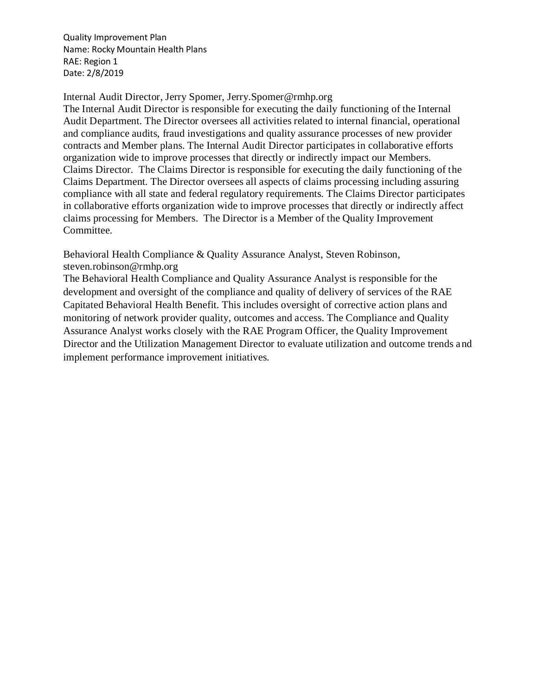Internal Audit Director, Jerry Spomer, Jerry.Spomer@rmhp.org

The Internal Audit Director is responsible for executing the daily functioning of the Internal Audit Department. The Director oversees all activities related to internal financial, operational and compliance audits, fraud investigations and quality assurance processes of new provider contracts and Member plans. The Internal Audit Director participates in collaborative efforts organization wide to improve processes that directly or indirectly impact our Members. Claims Director. The Claims Director is responsible for executing the daily functioning of the Claims Department. The Director oversees all aspects of claims processing including assuring compliance with all state and federal regulatory requirements. The Claims Director participates in collaborative efforts organization wide to improve processes that directly or indirectly affect claims processing for Members. The Director is a Member of the Quality Improvement Committee.

Behavioral Health Compliance & Quality Assurance Analyst, Steven Robinson, steven.robinson@rmhp.org

The Behavioral Health Compliance and Quality Assurance Analyst is responsible for the development and oversight of the compliance and quality of delivery of services of the RAE Capitated Behavioral Health Benefit. This includes oversight of corrective action plans and monitoring of network provider quality, outcomes and access. The Compliance and Quality Assurance Analyst works closely with the RAE Program Officer, the Quality Improvement Director and the Utilization Management Director to evaluate utilization and outcome trends and implement performance improvement initiatives.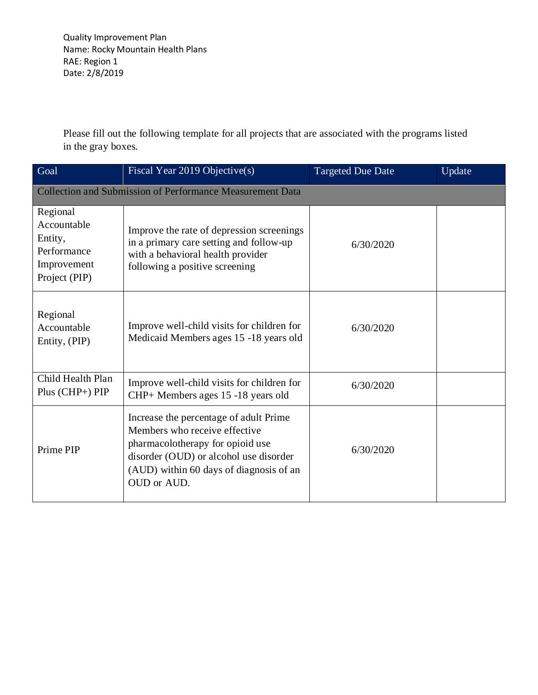Please fill out the following template for all projects that are associated with the programs listed in the gray boxes.

| Goal                                                                              | Fiscal Year 2019 Objective(s)                                                                                                                                                                                   | <b>Targeted Due Date</b> | Update |
|-----------------------------------------------------------------------------------|-----------------------------------------------------------------------------------------------------------------------------------------------------------------------------------------------------------------|--------------------------|--------|
| <b>Collection and Submission of Performance Measurement Data</b>                  |                                                                                                                                                                                                                 |                          |        |
| Regional<br>Accountable<br>Entity,<br>Performance<br>Improvement<br>Project (PIP) | Improve the rate of depression screenings<br>in a primary care setting and follow-up<br>with a behavioral health provider<br>following a positive screening                                                     | 6/30/2020                |        |
| Regional<br>Accountable<br>Entity, (PIP)                                          | Improve well-child visits for children for<br>Medicaid Members ages 15 -18 years old                                                                                                                            | 6/30/2020                |        |
| Child Health Plan<br>$Plus (CHP+) PIP$                                            | Improve well-child visits for children for<br>CHP+ Members ages 15 -18 years old                                                                                                                                | 6/30/2020                |        |
| Prime PIP                                                                         | Increase the percentage of adult Prime<br>Members who receive effective<br>pharmacolotherapy for opioid use<br>disorder (OUD) or alcohol use disorder<br>(AUD) within 60 days of diagnosis of an<br>OUD or AUD. | 6/30/2020                |        |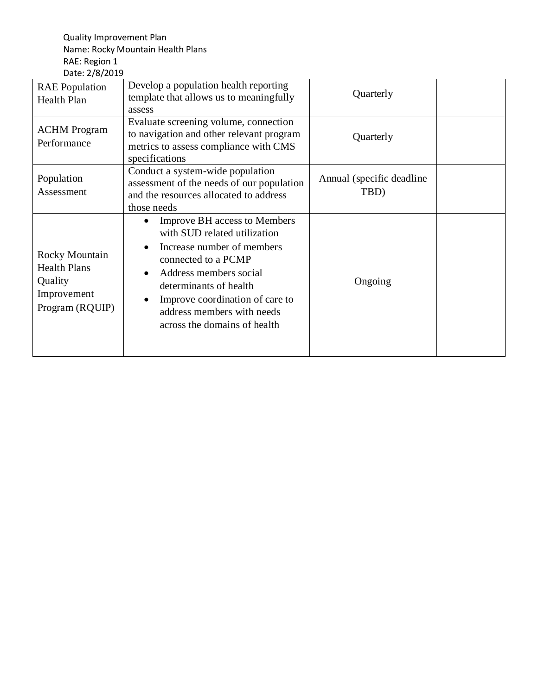| <b>RAE</b> Population<br>Health Plan                                               | Develop a population health reporting<br>template that allows us to meaningfully<br>assess                                                                                                                                                                                    | Quarterly                          |  |
|------------------------------------------------------------------------------------|-------------------------------------------------------------------------------------------------------------------------------------------------------------------------------------------------------------------------------------------------------------------------------|------------------------------------|--|
| <b>ACHM</b> Program<br>Performance                                                 | Evaluate screening volume, connection<br>to navigation and other relevant program<br>metrics to assess compliance with CMS<br>specifications                                                                                                                                  | Quarterly                          |  |
| Population<br>Assessment                                                           | Conduct a system-wide population<br>assessment of the needs of our population<br>and the resources allocated to address<br>those needs                                                                                                                                        | Annual (specific deadline)<br>TBD) |  |
| Rocky Mountain<br><b>Health Plans</b><br>Quality<br>Improvement<br>Program (RQUIP) | <b>Improve BH</b> access to Members<br>with SUD related utilization<br>Increase number of members<br>connected to a PCMP<br>Address members social<br>determinants of health<br>Improve coordination of care to<br>address members with needs<br>across the domains of health | Ongoing                            |  |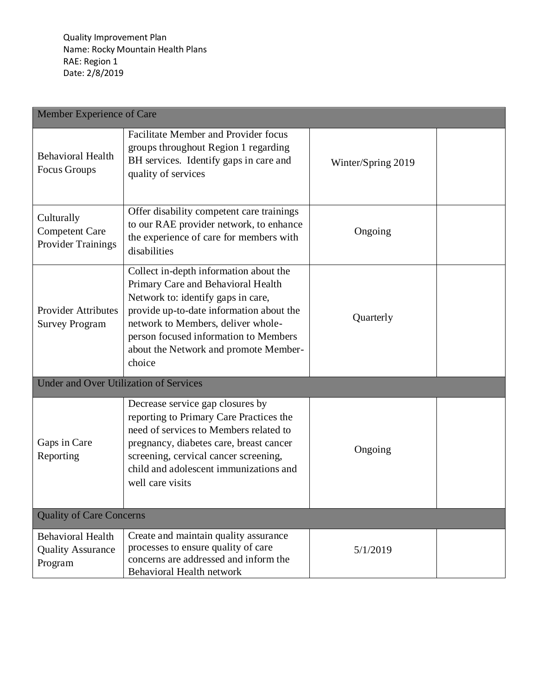| Member Experience of Care                                        |                                                                                                                                                                                                                                                                                                  |                    |  |
|------------------------------------------------------------------|--------------------------------------------------------------------------------------------------------------------------------------------------------------------------------------------------------------------------------------------------------------------------------------------------|--------------------|--|
| <b>Behavioral Health</b><br>Focus Groups                         | <b>Facilitate Member and Provider focus</b><br>groups throughout Region 1 regarding<br>BH services. Identify gaps in care and<br>quality of services                                                                                                                                             | Winter/Spring 2019 |  |
| Culturally<br><b>Competent Care</b><br><b>Provider Trainings</b> | Offer disability competent care trainings<br>to our RAE provider network, to enhance<br>the experience of care for members with<br>disabilities                                                                                                                                                  | Ongoing            |  |
| <b>Provider Attributes</b><br><b>Survey Program</b>              | Collect in-depth information about the<br>Primary Care and Behavioral Health<br>Network to: identify gaps in care,<br>provide up-to-date information about the<br>network to Members, deliver whole-<br>person focused information to Members<br>about the Network and promote Member-<br>choice | Quarterly          |  |
| <b>Under and Over Utilization of Services</b>                    |                                                                                                                                                                                                                                                                                                  |                    |  |
| Gaps in Care<br>Reporting                                        | Decrease service gap closures by<br>reporting to Primary Care Practices the<br>need of services to Members related to<br>pregnancy, diabetes care, breast cancer<br>screening, cervical cancer screening,<br>child and adolescent immunizations and<br>well care visits                          | Ongoing            |  |
| <b>Quality of Care Concerns</b>                                  |                                                                                                                                                                                                                                                                                                  |                    |  |
| <b>Behavioral Health</b><br><b>Quality Assurance</b><br>Program  | Create and maintain quality assurance<br>processes to ensure quality of care<br>concerns are addressed and inform the<br><b>Behavioral Health network</b>                                                                                                                                        | 5/1/2019           |  |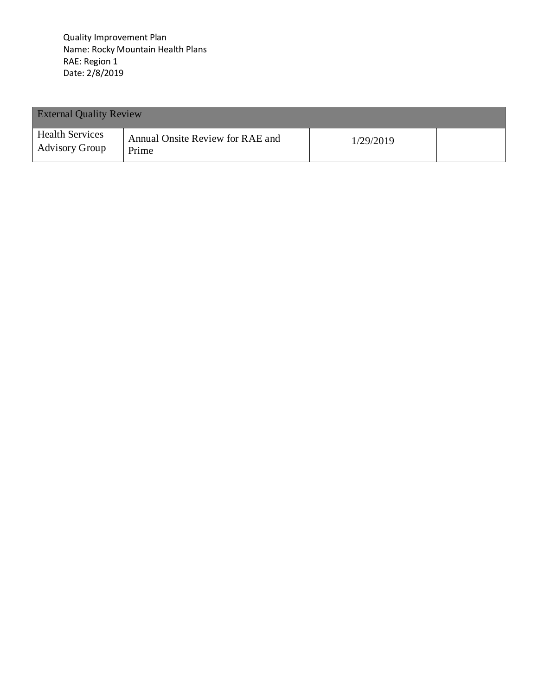| <b>External Quality Review</b>                  |                                           |           |  |
|-------------------------------------------------|-------------------------------------------|-----------|--|
| <b>Health Services</b><br><b>Advisory Group</b> | Annual Onsite Review for RAE and<br>Prime | 1/29/2019 |  |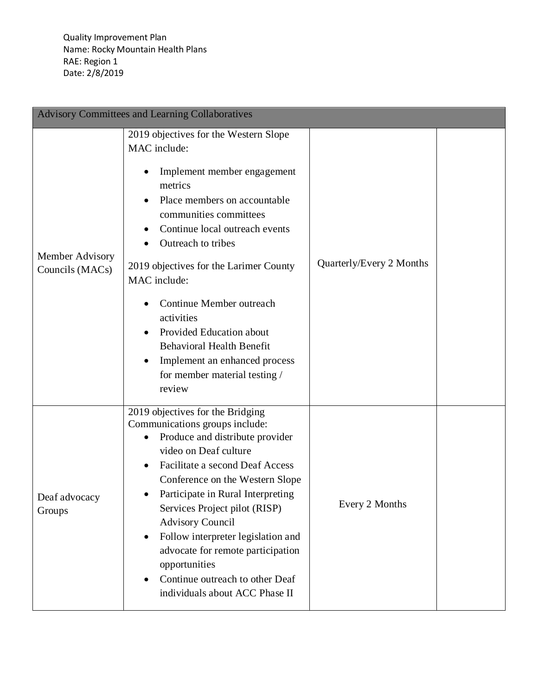| <b>Advisory Committees and Learning Collaboratives</b> |                                                                                                                                                                                                                                                                                                                                                                                                                                                                                     |                          |  |
|--------------------------------------------------------|-------------------------------------------------------------------------------------------------------------------------------------------------------------------------------------------------------------------------------------------------------------------------------------------------------------------------------------------------------------------------------------------------------------------------------------------------------------------------------------|--------------------------|--|
| Member Advisory<br>Councils (MACs)                     | 2019 objectives for the Western Slope<br>MAC include:<br>Implement member engagement<br>metrics<br>Place members on accountable<br>communities committees<br>Continue local outreach events<br>Outreach to tribes<br>2019 objectives for the Larimer County<br>MAC include:<br>Continue Member outreach<br>activities<br>Provided Education about<br><b>Behavioral Health Benefit</b><br>Implement an enhanced process<br>for member material testing /<br>review                   | Quarterly/Every 2 Months |  |
| Deaf advocacy<br>Groups                                | 2019 objectives for the Bridging<br>Communications groups include:<br>Produce and distribute provider<br>$\bullet$<br>video on Deaf culture<br>Facilitate a second Deaf Access<br>Conference on the Western Slope<br>Participate in Rural Interpreting<br>Services Project pilot (RISP)<br><b>Advisory Council</b><br>Follow interpreter legislation and<br>advocate for remote participation<br>opportunities<br>Continue outreach to other Deaf<br>individuals about ACC Phase II | Every 2 Months           |  |